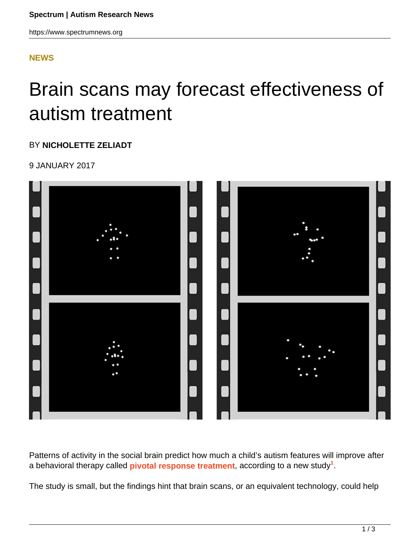### **[NEWS](HTTPS://WWW.SPECTRUMNEWS.ORG/NEWS/)**

# Brain scans may forecast effectiveness of autism treatment

#### BY **NICHOLETTE ZELIADT**

9 JANUARY 2017



Patterns of activity in the social brain predict how much a child's autism features will improve after a behavioral therapy called **pivotal response treatment**, according to a new study**<sup>1</sup>** .

The study is small, but the findings hint that brain scans, or an equivalent technology, could help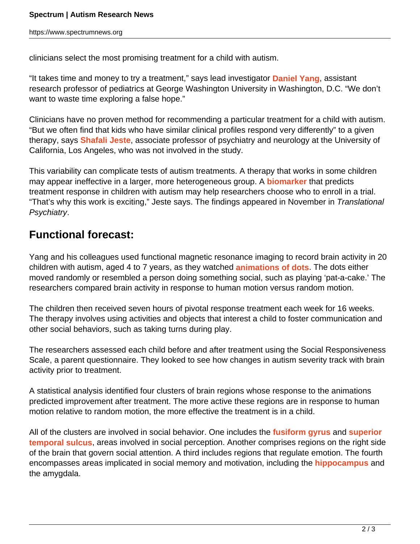clinicians select the most promising treatment for a child with autism.

"It takes time and money to try a treatment," says lead investigator **Daniel Yang**, assistant research professor of pediatrics at George Washington University in Washington, D.C. "We don't want to waste time exploring a false hope."

Clinicians have no proven method for recommending a particular treatment for a child with autism. "But we often find that kids who have similar clinical profiles respond very differently" to a given therapy, says **Shafali Jeste**, associate professor of psychiatry and neurology at the University of California, Los Angeles, who was not involved in the study.

This variability can complicate tests of autism treatments. A therapy that works in some children may appear ineffective in a larger, more heterogeneous group. A **biomarker** that predicts treatment response in children with autism may help researchers choose who to enroll in a trial. "That's why this work is exciting," Jeste says. The findings appeared in November in Translational Psychiatry.

## **Functional forecast:**

Yang and his colleagues used functional magnetic resonance imaging to record brain activity in 20 children with autism, aged 4 to 7 years, as they watched **animations of dots**. The dots either moved randomly or resembled a person doing something social, such as playing 'pat-a-cake.' The researchers compared brain activity in response to human motion versus random motion.

The children then received seven hours of pivotal response treatment each week for 16 weeks. The therapy involves using activities and objects that interest a child to foster communication and other social behaviors, such as taking turns during play.

The researchers assessed each child before and after treatment using the Social Responsiveness Scale, a parent questionnaire. They looked to see how changes in autism severity track with brain activity prior to treatment.

A statistical analysis identified four clusters of brain regions whose response to the animations predicted improvement after treatment. The more active these regions are in response to human motion relative to random motion, the more effective the treatment is in a child.

All of the clusters are involved in social behavior. One includes the **fusiform gyrus** and **superior temporal sulcus**, areas involved in social perception. Another comprises regions on the right side of the brain that govern social attention. A third includes regions that regulate emotion. The fourth encompasses areas implicated in social memory and motivation, including the **hippocampus** and the amygdala.